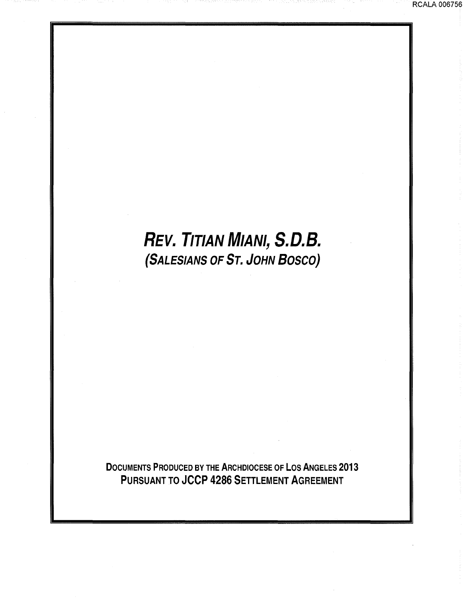## **REV.** TITIAN MIANI, **S.D.B.**  (SALESIANS OF Sr. JOHN BOSCO)

DOCUMENTS PRODUCED BY THE ARCHDIOCESE OF LOS ANGELES 2013 PURSUANT TO JCCP 4286 SETTLEMENT AGREEMENT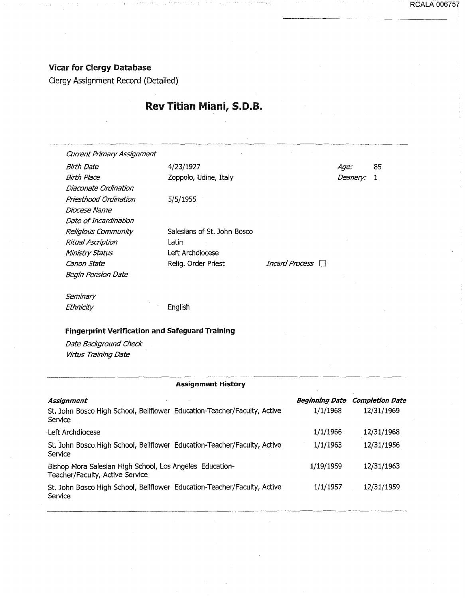## Vicar for Clergy Database

Clergy Assignment Record (Detailed)

## Rev Titian Miani, S.D. B.

Current Primary Assignment Birth Date 4/23/1927 Birth Place Diaconate Ordination Priesthood Ordination Diocese Name Zoppolo, Udine, Italy 5/5/1955 Salesians of St. John Bosco Latin Age: 85 Deanery: 1 Date of Incardination Religious Community Ritual Ascription Ministry Status Canon State Left Archdiocese Relig. Order Priest *Incard Process* Begin Pension Date **Seminary** Ethnicity English Fingerprint Verification and Safeguard Training Date Background Check Virtus Training Date

### Assignment History

| Assignment<br>St. John Bosco High School, Bellflower Education-Teacher/Faculty, Active<br>Service | <b>Beginning Date</b><br>1/1/1968 | <b>Completion Date</b><br>12/31/1969 |
|---------------------------------------------------------------------------------------------------|-----------------------------------|--------------------------------------|
| Left Archdiocese                                                                                  | 1/1/1966                          | 12/31/1968                           |
| St. John Bosco High School, Bellflower Education-Teacher/Faculty, Active<br>Service               | 1/1/1963                          | 12/31/1956                           |
| Bishop Mora Salesian High School, Los Angeles Education-<br>Teacher/Faculty, Active Service       | 1/19/1959                         | 12/31/1963                           |
| St. John Bosco High School, Bellflower Education-Teacher/Faculty, Active<br>Service               | 1/1/1957                          | 12/31/1959                           |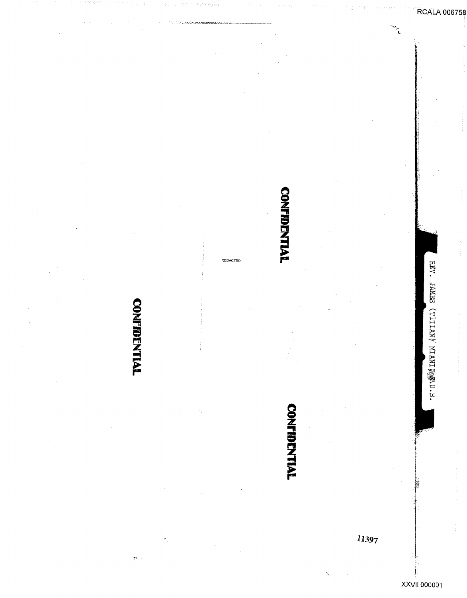## REDACTED

**CONFIDENTIAL** 

# **CONFIDENTIAL**

**CONFIDENTIAL**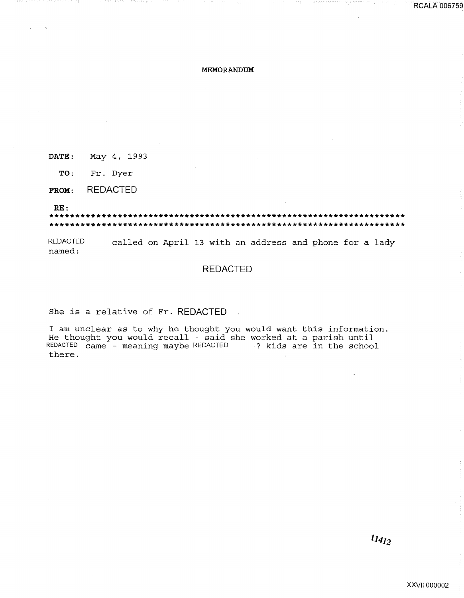### MEMORANDUM

DATE: May 4, 1993

TO: Fr. Dyer

**REDACTED** FROM:

 $RE:$ 

**REDACTED** called on April 13 with an address and phone for a lady named:

## **REDACTED**

She is a relative of Fr. REDACTED

I am unclear as to why he thought you would want this information. He thought you would recall - said she worked at a parish until REDACTED came - meaning maybe REDACTED :? kids are in the school there.

**RCALA 006759**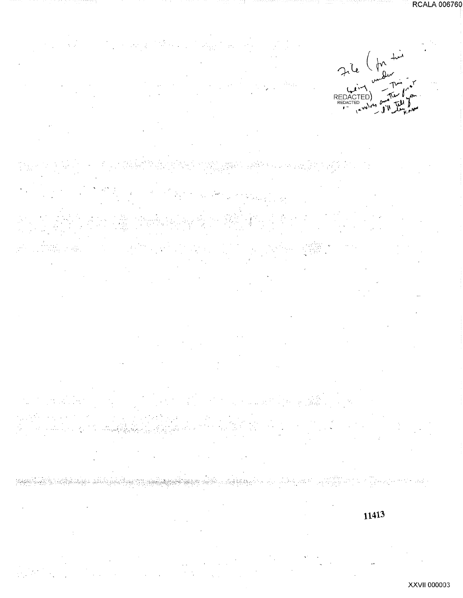

بياء الإيادة قيريتها والمستندر  $\frac{1}{2}$ પ્લન્ટેન્ટ 11413

XXVII 000003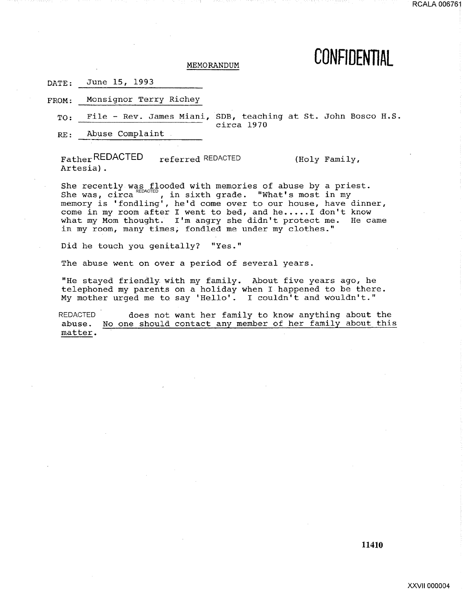## MEMORANDUM **CONFIDENTIAL**

| $\mathtt{DATE:}$ | June 15, 1993 |  |
|------------------|---------------|--|
|                  |               |  |

FROM: Monsignor Terry Richey

RE: Abuse Complaint

Father REDACTED Artesia) . referred REDACTED (Holy Family,

She recently was flooded with memories of abuse by a priest. She recently was incoded with memorics of abuse by a pri-<br>She was, circa e., in sixth grade. "What's most in my memory is 'fondling', he'd come over to our house, have dinner, come in my room after I went to bed, and he.....I don't know what my Mom thought. I'm angry she didn't protect me. He came in my room, many times, fondled me under my clothes."

Did he touch you genitally? "Yes."

The abuse went on over a period of several years.

"He stayed friendly with my family. About five years ago, he telephoned my parents on a holiday when I happened to be there. My mother urged me to say 'Hello'. I couldn't and wouldn't."

REDACTED abuse. matter. does not want her family to know anything about the No one should contact any member of her family about this

TO: File - Rev. James Miani, SDB, teaching at St. John Bosco H.S. circa 1970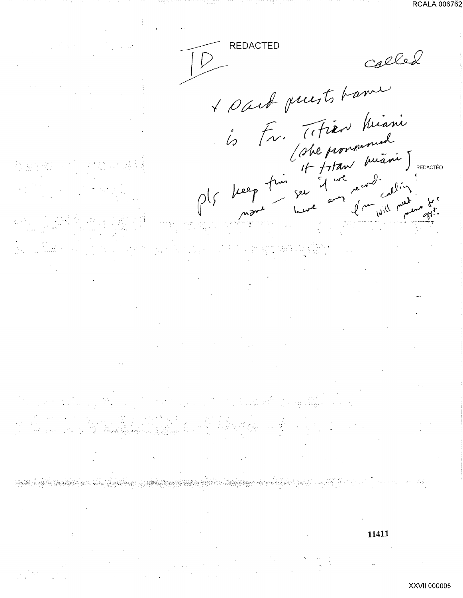**REDACTED** called I sait puists tame 6 Fr. (Fren Miani)<br>Cabe pronoument<br>Ols beep from ser d'une marie J.<br>Mont ser d'une modelin 11411

XXVII 000005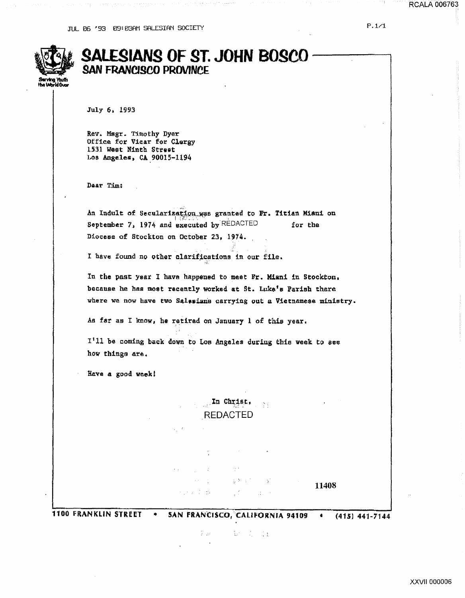| .<br>Serving Youth<br>the World Ovor |
|--------------------------------------|
| iho i<br>w                           |

## **SALESIANS OF ST. JOHN BOSCO**<br>SAN FRANCISCO PROVINCE

July 6. 1993

Rev. Msgr. Timothy Dyer Office for Vicar for Clorgy 1531 West Ninth Street LO\$ Angeles, CA 90015-1194

Dear Tim:

An Indult of Secularization was granted to Fr. Titian Miani on September 7, 1974 and executed by  $REDACTER$  for the Diocese of Sto¢kton on October 23, 1974.

I have found no other clarifications in our file.

In the pasc year I have happened to meet Yr. Miani in Stoekton, because he has most recently worked at St. Luke's Parish there where we now have two Salesians carrying out a Vietnamese ministry.

As far as I know, he retired on January 1 of this year.

1 1 11 be coming back down to Los Angeles during thie week to eee how things are.

Have a good week!

In Christ,  $\sim$  33 REDACTED

 $\mathcal{L}_{\text{max}} = 1.2$  .  $\Delta\lambda$  ,  $\Delta\lambda$ 雷斯 经人工公司 11408  $\label{eq:2} \frac{1}{\sqrt{2}}\sum_{i=1}^N\frac{1}{\sqrt{2}}\left(\frac{1}{\sqrt{2}}\right)^2\left(\frac{1}{\sqrt{2}}\right)^2.$ 的复数医静脉

1100 FRANKLIN STREET • SAN fRANCISCO, CALIFORNIA 94109 • (415) 441-7144

 $T_{\rm eff}$  and  $T_{\rm eff}$  and  $T_{\rm eff}$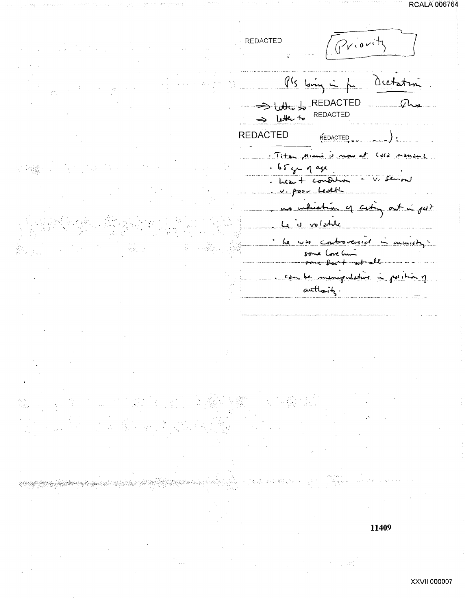RCALA 006/64

Priority **REDACTED**  $9!s$  loving  $\frac{1}{s}$  for Ocetate REDACTED  $\Omega$ REDACTED letter to **REDACTED REDACTED** Titzen Mienie is now  $65y - q$  age Leavet condition poor Ledth y cut 15 volate  $\overline{L}$ he w troversed  $axu$  $\delta$  $+$  all ingent etwi  $c_{\frac{\lambda}{2}}$  $\mathbb{A}^{q1}$ authority.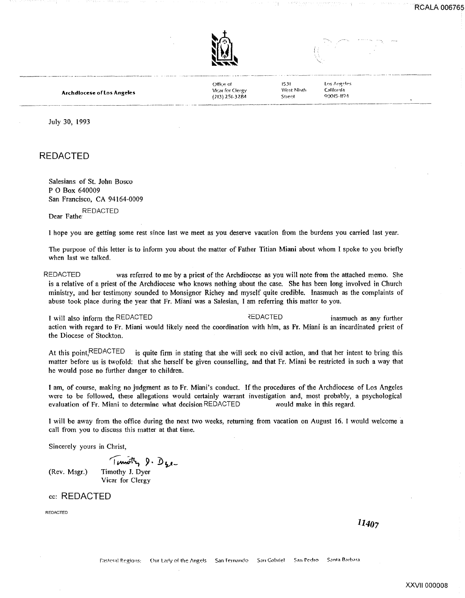

Office of Vicar for Clergy (213) 251-3284

15Jt West Ninth Stre~t

Los Angeles California 00015-119~

Archdiocese of los Angeles

July 30, 1993

REDACTED

Salesians of St. John Bosco P 0 Box 640009 San Francisco, CA 94164-0009

REDACTED Dear Fathe<sup>1</sup>

I hope you are getting some rest since last we meet as you deserve vacation from the burdens you carried last year.

The purpose of this letter is to inform you about the matter of Father Titian Miani about whom I spoke to you briefly when last we talked.

REDACTED was referred to me by a priest of the Archdiocese as you will note from the attached memo. She is a relative of a priest of the Archdiocese who knows nothing about the case. She has been long involved in Church ministry, and her testimony sounded to Monsignor Richey and myself quite credible. Inasmuch as the complaints of abuse took place during the year that Fr. Miani was a Salesian, I am referring this matter to you.

I will also inform the REDACTED  $\qquad \qquad$  REDACTED inasmuch as any further action with regard to Fr. Miani would likely need the coordination with him, as Fr. Miani is an incardinated priest of the Diocese of Stockton.

At this point, REDACTED is quite firm in stating that she will seek no civil action, and that her intent to bring this matter before us is twofold: that she herself be given counselling, and that Fr. Miani be restricted in such a way that he would pose no further danger to children.

I am, of course, making no judgment as to Fr. Miani's conduct. If the procedures of the Archdiocese of Los Angeles were to be followed, these allegations would certainly warrant investigation and, most probably, a psychological evaluation of Fr. Miani to determine what decision REDACTED would make in this regard.

I will be away from the office during the next two weeks, returning from vacation on August 16. I would welcome a call from you to discuss this matter at that time.

Sincerely yours in Christ,

 $T$ *rmoth*,  $9. D_{12}$ . (Rev. Msgr.) Timothy J. Dyer Vicar for Clergy

cc: REDACTED

REDACTED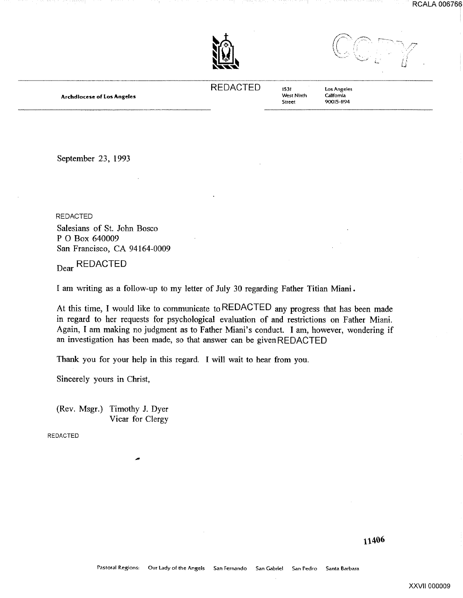RCALA 006766

··7 .· */* 



REDACTED 1531

West Ninth Street

Los Angeles **California** 90015-1194

September 23, 1993

Archdiocese of los Angeles

REDACTED Salesians of St. John Bosco P 0 Box 640009 San Francisco, CA 94164-0009

<sub>Dear</sub> REDACTED

I am writing as a follow-up to my letter of July 30 regarding Father Titian Miani.

At this time, I would like to communicate to REDACTED any progress that has been made in regard to her requests for psychological evaluation of and restrictions on Father Miani. Again, I am making no judgment as to Father Miani's conduct. I am, however, wondering if an investigation has been made, so that answer can be givenREDACTED

Thank you for your help in this regard. I will wait to hear from you.

Sincerely yours in Christ,

(Rev. Msgr.) Timothy J. Dyer Vicar for Clergy

REDACTED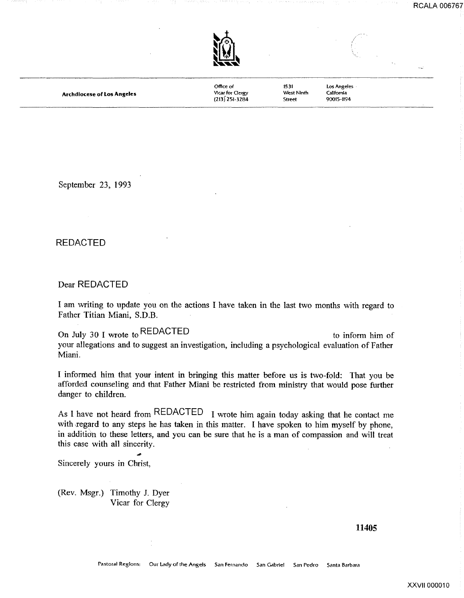

**Archdiocese of Los Angeles** 

Office of VIcar for Clergy  $(213)$  251-3284

West Ninth

1531

Street

los Angeles California 90015-1194

September 23, 1993

## REDACTED

Dear REDACTED

I am writing to update you on the actions I have taken in the last two months with regard to Father Titian Miani, S.D.B.

On July 30 I wrote to REDACTED to inform him of your allegations and to suggest an investigation, including a psychological evaluation of Father Miani.

I informed him that your intent in bringing this matter before us is two-fold: That you be afforded counseling and that Father Miani be restricted from ministry that would pose further danger to children.

As **l** have not heard from REDACTED I wrote him again today asking that he contact me with regard to any steps he has taken in this matter. I have spoken to him myself by phone, in addition to these letters, and you can be sure that he is a man of compassion and will treat this case with all sincerity.

Sincerely yours in Christ,

(Rev. Msgr.) Timothy J. Dyer Vicar for Clergy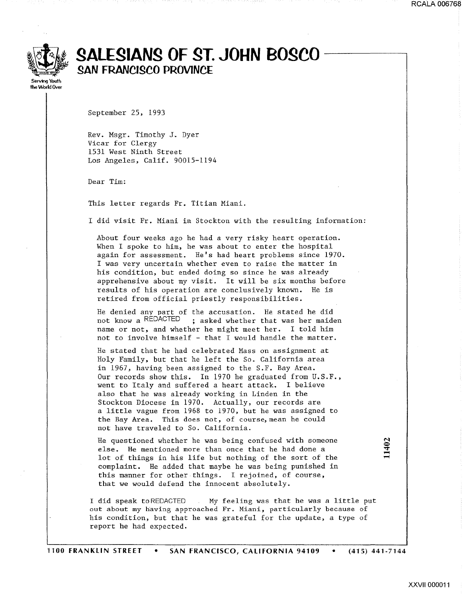

## ~ **SAL£SIANS OF ST. JOHN BOSCO SAN FRANCISCO PROVINC£**

**the** World Over

September 25, 1993

Rev. Msgr. Timothy J. Dyer Vicar for Clergy 1531 West Ninth Street Los Angeles, Calif. 90015-1194

Dear Tim:

This letter regards Fr. Titian Miani.

I did visit Fr. Miani in Stockton with the resulting information:

About four weeks ago he had a very risky heart operation. When I spoke to him, he was about to enter the hospital again for assessment. He's had heart problems since 1970. I was very uncertain whether even to raise the matter in his condition, but ended doing so since he was already apprehensive about my visit. It will be six months before results of his operation are conclusively known. He is retired from official priestly responsibilities.

He denied any part of the accusation. He stated he did not know a REDACTED ; asked whether that was her maiden name or *not,* and whether he might meet her. I told him not to involve himself - that I would handle the matter.

He stated that he had celebrated Mass on assignment at Holy Family, but that he left the So. California area in 1967, having been assigned to the S.F. Bay Area. Our records show this. In 1970 he graduated from U.S.F., went to Italy and suffered a heart attack. I believe also that he was already working in Linden in the Stockton Diocese in 1970. Actually, our records are a little vague from 1968 to 1970, but he was assigned to the Bay Area. This does not, of course, mean he could not have traveled to So. California.

He questioned whether he was being confused with someone else. He mentioned more than once that he had done a lot of things in his life but nothing of the sort of the complaint. He added that maybe he was being punished in this manner for other things. I rejoined, of course, that we would defend the innocent absolutely.

I did speak toREDACTED My feeling was that he was a little put out about my having approached Fr. Miani, particularly because of his condition, but that he was grateful for the update, a type of report he had expected.

XXVII 000011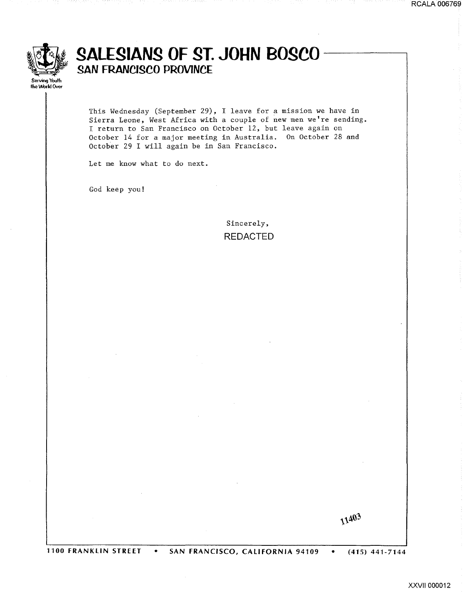

## **SALESIANS OF ST. JOHN BOSCO**<br>SAN FRANCISCO PROVINCE

This Wednesday (September 29), I leave for a mission we have in Sierra Leone, West Africa with a couple of new men we're sending. I return to San Francisco on October 12, but leave again on October 14 for a major meeting in Australia. On October 28 and October 29 I will again be in San Francisco.

Let me know what to do next.

God keep you!

Sincerely, REDACTED

11403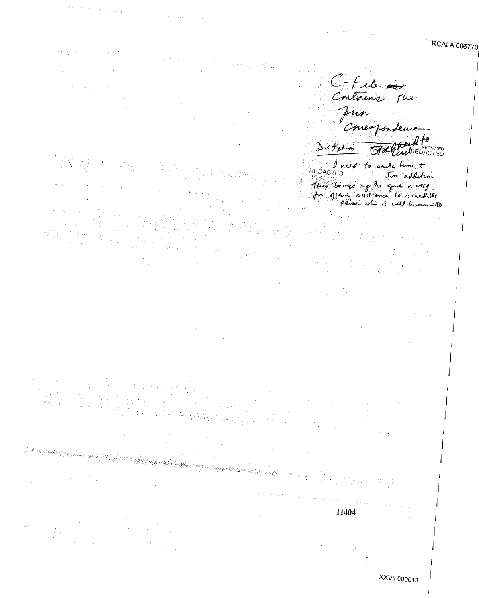C-File pun Concepondeurs Diction Stell **TOLOGY INTEDACTED** 

REDACTED to write him + This bornes we have given a very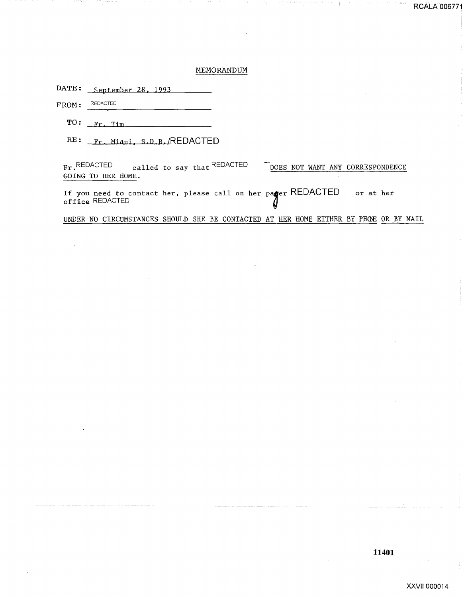## MEMORANDUM

DATE: September 28, 1993

FROM: REDACTED

 $TO:$   $Fr.$   $Tim$ 

RE: Fr. Miani, S.D.B./REDACTED

----~---------------------

Fr. REDACTED called to say that REDACTED DOES NOT WANT ANY CORRESPONDENCE GOING TO HER HOME.

If you need to contact her, please call on her patter REDACTED or at her office REDACTED

UNDER NO CIRCUMSTANCES SHOULD SHE BE CONTACTED AT HER HOME EITHER BY PHGE OR BY MAIL

RCALA 006771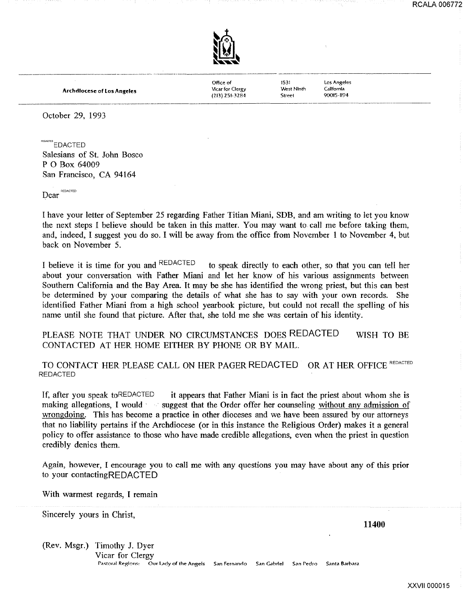

Archdiocese of Los Angeles

Office of Vlcar for Clergy (213) Z51-3Z84

1531 West Ninth Street

Los Angeles Californla 90015-1194

October 29, 1993

REDACTED<br>EDACTED Salesians of St. John Bosco P 0 Box 64009 San Francisco, CA 94164

Dear REDACTED

I have your letter of September 25 regarding Father Titian Miani, SDB, and am writing to let you know the next steps I believe should be taken in this matter. You may want to call me before taking them, and, indeed, I suggest you do so. I will be away from the office from November 1 to November 4, but back on November 5.

I believe it is time for you and REDACTED to speak directly to each other, so that you can tell her about your conversation with Father Miani and let her know of his various assignments between Southern California and the Bay Area. It may be she has identified the wrong priest, but this can best be determined by your comparing the details of what she has to say with your own records. She identified Father Miani from a high school yearbook picture, but could not recall the spelling of his name until she found that picture. After that, she told me she was certain of his identity.

PLEASE NOTE THAT UNDER NO CIRCUMSTANCES DOES REDACTED CONTACTED AT HER HOME EITHER BY PHONE OR BY MAIL. WISH TO BE

TO CONTACT HER PLEASE CALL ON HER PAGER REDACTED OR AT HER OFFICE REDACTED REDACTED

If, after you speak to REDACTED it appears that Father Miani is in fact the priest about whom she is making allegations, I would solution suggest that the Order offer her counseling without any admission of wrongdoing. This has become a practice in other dioceses and we have been assured by our attorneys that no liability pertains if the Archdiocese (or in this instance the Religious Order) makes it a general policy to offer assistance to those who have made credible allegations, even when the priest in question credibly denies them.

Again, however, I encourage you to call me with any questions you may have about any of this prior to your contactingREDACTED

With warmest regards, I remain

Sincerely yours in Christ,

**11400** 

(Rev. Msgr.) Timothy J. Dyer

Vicar for Clergy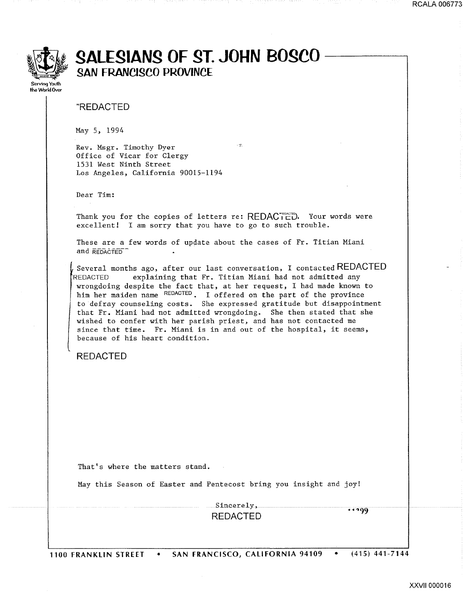

## ~~~ **SAlfSIANS OF ST. JOHN BOSCO** ~ **SAN FRANCISCO PROVINC£**

the World Over

"REDACTED

May *5,* 1994

Rev. Msgr. Timothy Dyer Office of Vicar for Clergy 1531 West Ninth Street Los Angeles, California 90015-1194

Dear Tim:

Thank you for the copies of letters re: REDACTED. Your words were excellent! I am sorry that you have to go to such trouble.

 $\sim$  30

These are a few words of update about the cases of Fr. Titian Miani and REDACTED<sup>-</sup>

Several months ago, after our last conversation, I contacted REDACTED REDACTED explaining that Fr. Titian Miani had not admitted any wrongdoing despite the fact that, at her request, I had made known to him her maiden name REDACTED. I offered on the part of the province to defray counseling costs. She expressed gratitude but disappointment that Fr. Miani had not admitted wrongdoing. She then stated that she wished to confer with her parish priest, and has not contacted me since that time. Fr. Miani is in and out of the hospital, it seems, because of his heart condition.

REDACTED

That's where the matters stand.

May this Season of Easter and Pentecost bring you insight and joy!

Sincerely, REDACTED

 $11299$ 

1100 FRANKliN STREET • SAN FRANCISCO, CALIFORNIA 94109 • (415) 441-7144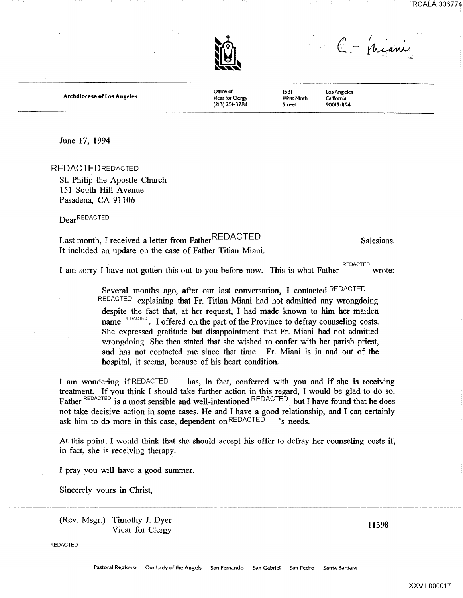



Archdiocese of Los Angeles

Office of VIcar for Clergy (213) 251-3284 'Nest Ninth

1531

Street

Los Angeles California 90015-1194

C - Juiani

June 17, 1994

REDACTED REDACTED

St. Philip the Apostle Church 151 South Hill Avenue Pasadena, CA 91106

Dear REDACTED

## Last month, I received a letter from FatherREDACTED Salesians. It included an update on the case of Father Titian Miani.

11398

REDACTED I am sorry I have not gotten this out to you before now. This is what Father wrote:

> Several months ago, after our last conversation, I contacted REDACTED REDACTED explaining that Fr. Titian Miani had not admitted any wrongdoing despite the fact that, at her request, I had made known to him her maiden name REDACTED. I offered on the part of the Province to defray counseling costs. She expressed gratitude but disappointment that Fr. Miani had not admitted wrongdoing. She then stated that she wished to confer with her parish priest, and has not contacted me since that time. Fr. Miani is in and out of the hospital, it seems, because of his heart condition.

I am wondering if REDACTED has, in fact, conferred with you and if she is receiving treatment. If you think I should take further action in this regard, I would be glad to do so. Father REDACTED is a most sensible and well-intentioned REDACTED but I have found that he does not take decisive action in some cases. He and I have a good relationship, and I can certainly ask him to do more in this case, dependent on REDACTED 's needs.

At this point, I would think that she should accept his offer to defray her counseling costs if, in fact, she is receiving therapy.

I pray you will have a good summer.

Sincerely yours in Christ,

(Rev. Msgr.) Timothy J. Dyer Vicar for Clergy

REDACTED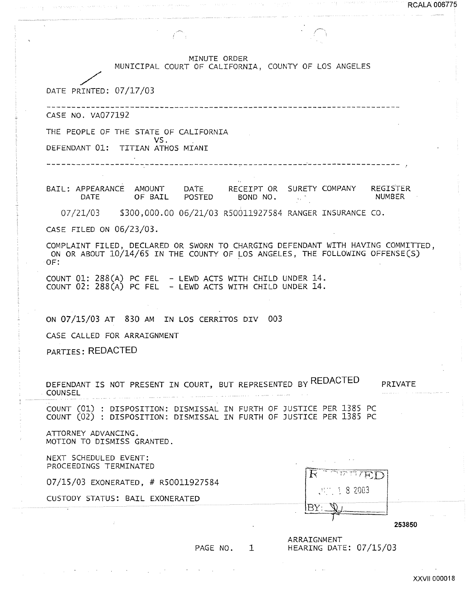MINUTE ORDER

MUNICIPAL COURT OF CALIFORNIA, COUNTY OF LOS ANGELES

/ DATE PRINTED: 07/17/03

CASE NO. VA077192

THE PEOPLE OF THE STATE OF CALIFORNIA

VS.<br>DEFENDANT 01: TITIAN ATHOS MIANI

. . . . . . . . . . . . . . . . . . .

BAIL: APPEARANCE AMOUNT DATE RECEIPT OR SURETY COMPANY REGISTER<br>DATE OF BAIL POSTED BOND NO. BOND NO.

07/21/03 \$300,000.00 06/21/03 R50011927584 RANGER INSURANCE CO.

CASE FILED ON 06/23/03.

COMPLAINT FILED, DECLARED OR SWORN TO CHARGING DEFENDANT WITH HAVING COMMITTED, ON OR ABOUT  $10/14/65$  IN THE COUNTY OF LOS ANGELES, THE FOLLOWING OFFENSE(S)  $OF:$ 

COUNT 01: 288(A) PC FEL - LEWD ACTS WITH CHILD UNDER 14. COUNT 02: 288(A) PC FEL - LEWD ACTS WITH CHILD UNDER 14.

ON 07/15/03 AT 830 AM IN LOS CERRITOS DIV 003

CASE CALLED FOR ARRAIGNMENT

PARTIES: REDACTED

DEFENDANT IS NOT PRESENT IN COURT, BUT REPRESENTED BY REDACTED COUNSEL PRIVATE

COUNT (01) : DISPOSITION: DISMISSAL IN FURTH OF JUSTICE PER 1385 PC COUNT (02) : DISPOSITION: DISMISSAL IN FURTH OF JUSTICE PER 1385 PC

ATTORNEY ADVANCING. MOTION TO DISMISS GRANTED.

NEXT SCHEDULED EVENT: PROCEEDINGS TERMINATED

07/15/03 EXONERATED, # R50011927584

CUSTODY STATUS: BAIL EXONERATED

|            | - 3                              |  |
|------------|----------------------------------|--|
|            | 82003<br>- 1                     |  |
| -----<br>٠ | <b>NAMES OF TAXABLE PARTIES.</b> |  |
|            |                                  |  |

253850

ARRAIGNMENT PAGE NO. 1 HEARING DATE: 07/15/03 RCALA 006775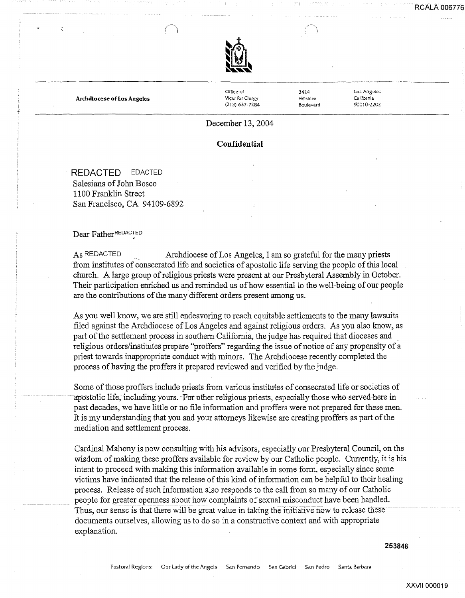

Archdiocese of Los Angeles

Office of Vicar for Clergy (213) 637-7284 3424 Wilshire Boulevard Los Angeles California 90010-2202

## December 13, 2004

**Confidential** 

REDACTED EDACTED Salesians of John Bosco 1100 Franklin Street San Francisco, CA 94109-6892

Dear FatherREDACTED

As REDACTED Archdiocese of Los Angeles, I am so grateful for the many priests from institutes of consecrated life and societies of apostolic life serving the people of this local church. A large group of religious priests were present at our Presbyteral Assembly in October. Their participation enriched us and reminded us of how essential to the well-being of our people are the contributions of the many different orders present among us.

As you well know, we are still endeavoring to reach equitable settlements to the many lawsuits filed against the Archdiocese of Los Angeles and against religious orders. As you also know, as part of the settlement process in southern California, the judge has required that dioceses and . religious orders/institutes prepare "proffers" regarding the issue of notice of any propensity of a priest towards inappropriate conduct with minors. The Archdiocese recently completed the process of having the proffers it prepared reviewed and verified by the judge.

Some of those proffers include priests from various institutes of consecrated life or societies of apostolic life, including yours. For other religious priests, especially those who served here in past decades, we have little or no file information and proffers were not prepared for these men. It is my understanding that you and your attorneys likewise are creating proffers as part of the mediation and settlement process.

Cardinal Mahony is now consulting with his advisors, especially our Presbyteral Council, on the wisdom of making these proffers available for review by our Catholic people. Currently, it is his intent to proceed with making this information available in some form, especially since some victims have indicated that the release of this kind of information can be helpful to their healing process. Release of such information also responds to the call from so many of our Catholic people for greater openness about how complaints of sexual misconduct have been handled. Thus, our sense is that there will be great value in taking the initiative now to release these documents ourselves, allowing us to do so in a constructive context and with appropriate explanation.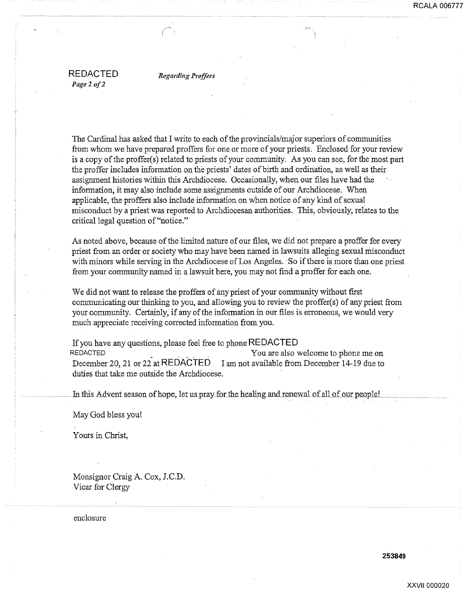REDACTED *Page 2 of2* 

*Regarding Proffers* 

The Cardinal has asked that I write to each of the provincials/major superiors of communities from whom we have prepared proffers for one or more of your priests. Enclosed for your review is a copy of the proffer(s) related to priests of your community. As you can see, for the most part the proffer includes information on the priests' dates of birth and ordination, as well as their assignment histories within this Archdiocese. Occasionally, when our files have had the information, it may also include some assignments outside of our Archdiocese. When applicable, the proffers also include information on when notice of any kind of sexual misconduct by a priest was reported t6 Archdiocesan authorities. This, obviously, relates to the critical legal question of"notice."

As noted above, because of the limited nature of our files, we did not prepare a proffer for every priest from an order or society who may have been named in lawsuits alleging sexual niisconduct with minors while serving in the Archdiocese of Los Angeles. So if there is more than one priest from your community named in a lawsuit here, you may not find a proffer for each one.

We did not want to release the proffers of any priest of your community without first communicating our thinking to you, and allowing you to review the proffer(s) of any priest from your community. Certainly, if any of the information in our files is erroneous, we would very much appreciate receiving corrected information from you.

If you have any questions, please feel free to phone REDACTED<br>REDACTED<br>You are also You are also welcome to phone me on December 20, 21 or 22 at REDACTED I am not available from December 14-19 due to duties that take me outside the Archdiocese.

In this Advent season of hope, let us pray for the healing and renewal of all of our people!

May God bless you!

Yours in Christ,

Monsignor Craig A. Cox, J.C.D. Vicar for Clergy

enclosure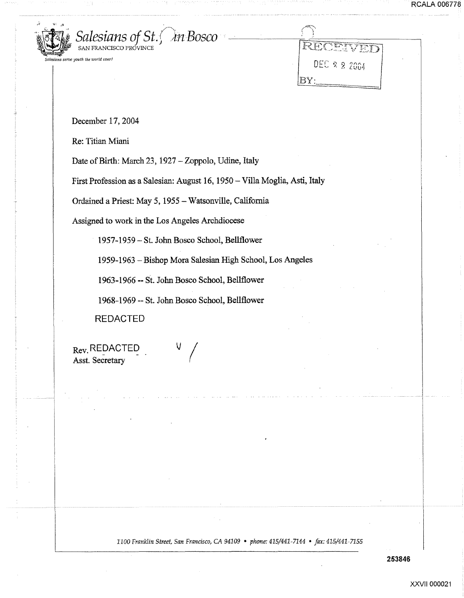

| RECEIVED     |  |
|--------------|--|
| DEC 2 2 2004 |  |
|              |  |

December 17, 2004

SAN FRANCISCO PROVINCE

Re: Titian Miani

Date of Birth: March 23, 1927-Zoppolo, Udine, Italy

First Profession as a Salesian: August 16, 1950 - Villa Moglia, Asti, Italy

Ordained a Priest: May 5, 1955- Watsonville, California

Assigned to work in the Los Angeles Archdiocese

1957-1959- St. John Bosco School, Bellflower

1959-1963 -Bishop Mora Salesian High School, Los Angeles

1963-1966 --St. John Bosco School, Bellflower

1968-1969 --St. John Bosco School, Bellflower

REDACTED

Rev. REDACTED Asst. Secretary

*1100 Franklin Street, San Francisco, CA 94109* • *phone: 415/441-7144* • *fax: 415/441-7155* 

**253846** 

I·····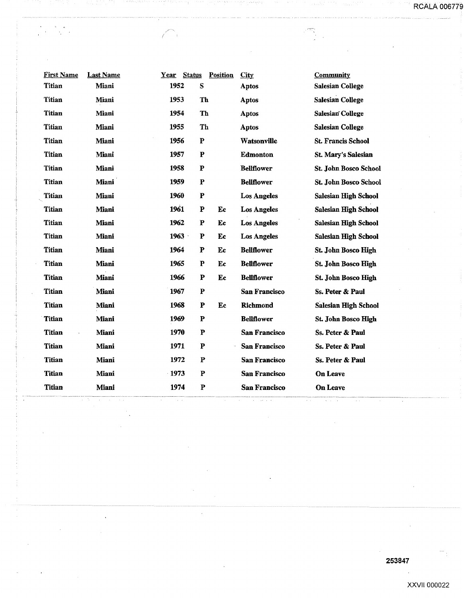$\label{eq:2} \begin{split} \rho^{\text{max}}_{\text{max}} = \frac{1}{\sqrt{2\pi\epsilon}} \end{split}$ 

| <b>First Name</b> | <b>Last Name</b> | Year     | <b>Status</b> | <b>Position</b> | City                 | Community                    |
|-------------------|------------------|----------|---------------|-----------------|----------------------|------------------------------|
| <b>Titian</b>     | Miani            | 1952     | ${\bf S}$     |                 | <b>Aptos</b>         | <b>Salesian College</b>      |
| Titian            | Miani            | 1953     | Th            |                 | <b>Aptos</b>         | <b>Salesian College</b>      |
| <b>Titian</b>     | Miani            | 1954     | Th            |                 | <b>Aptos</b>         | <b>Salesian College</b>      |
| Titian            | Miani            | 1955     | Th            |                 | Aptos                | <b>Salesian College</b>      |
| Titian            | Miani            | 1956     | P             |                 | Watsonville          | <b>St. Francis School</b>    |
| <b>Titian</b>     | Miani            | 1957     | $\mathbf P$   |                 | <b>Edmonton</b>      | <b>St. Mary's Salesian</b>   |
| <b>Titian</b>     | Miani            | 1958     | ${\bf P}$     |                 | <b>Bellflower</b>    | <b>St. John Bosco School</b> |
| <b>Titian</b>     | <b>Miani</b>     | 1959     | $\mathbf P$   |                 | <b>Bellflower</b>    | <b>St. John Bosco School</b> |
| <b>Titian</b>     | Miani            | 1960     | $\mathbf P$   |                 | <b>Los Angeles</b>   | <b>Salesian High School</b>  |
| <b>Titian</b>     | Miani            | 1961     | ${\bf P}$     | Ec              | <b>Los Angeles</b>   | <b>Salesian High School</b>  |
| Titian            | Miani            | 1962     | P             | Ec              | <b>Los Angeles</b>   | <b>Salesian High School</b>  |
| <b>Titian</b>     | Miani            | $1963 -$ | P             | Ec              | <b>Los Angeles</b>   | <b>Salesian High School</b>  |
| <b>Titian</b>     | Miani            | 1964     | P             | Ec              | <b>Bellflower</b>    | St. John Bosco High          |
| <b>Titian</b>     | Miani            | 1965     | P             | Ec              | <b>Bellflower</b>    | St. John Bosco High          |
| <b>Titian</b>     | Miani            | 1966     | $\mathbf P$   | Ec              | <b>Bellflower</b>    | St. John Bosco High          |
| <b>Titian</b>     | Miani            | 1967     | $\mathbf P$   |                 | San Francisco        | Ss. Peter & Paul             |
| Titian            | Miani            | 1968     | $\mathbf P$   | Ec              | Richmond             | <b>Salesian High School</b>  |
| <b>Titian</b>     | Miani            | 1969     | $\mathbf P$   |                 | <b>Bellflower</b>    | St. John Bosco High          |
| <b>Titian</b>     | Miani            | 1970     | P             |                 | San Francisco        | Ss. Peter & Paul             |
| <b>Titian</b>     | Miani            | 1971     | P             |                 | <b>San Francisco</b> | Ss. Peter & Paul             |
| Titian            | Miani            | 1972     | P             |                 | <b>San Francisco</b> | Ss. Peter & Paul             |
| <b>Titian</b>     | Miani            | $-1973$  | ${\bf P}$     |                 | <b>San Francisco</b> | On Leave                     |
| <b>Titian</b>     | Miani            | 1974     | ${\bf P}$     |                 | <b>San Francisco</b> | <b>On Leave</b>              |
|                   |                  |          |               |                 |                      |                              |

 $\ddot{\phantom{a}}$ 

 $\sim$   $\sim$ 

 $\sim$ 

 $\epsilon$ 

 $\zeta^{\pm}$  .

 $\overline{\phantom{a}}$ 

 $\mathcal{L}^{\infty}$ 

 $\sim$   $\sim$ 

 $\hat{\mathcal{A}}$ 

 $\ddot{\phantom{0}}$ 

 $\frac{1}{\sqrt{2}}\sum_{i=1}^{n} \frac{1}{\sqrt{2}}\left(\frac{1}{\sqrt{2}}\right)^2$ 

 $\frac{\partial}{\partial t} \left( \frac{\partial}{\partial t} + \frac{\partial}{\partial t} \right) = \frac{\partial}{\partial t} \left( \frac{\partial}{\partial t} + \frac{\partial}{\partial t} \right)$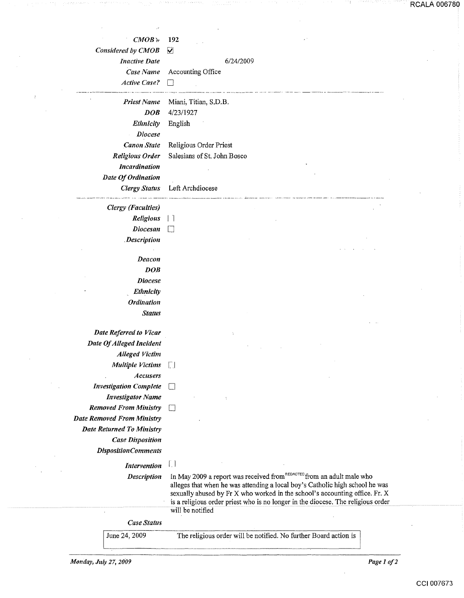| $CMOB +$                                                  | 192                                                                                                                                                             |  |
|-----------------------------------------------------------|-----------------------------------------------------------------------------------------------------------------------------------------------------------------|--|
| Considered by CMOB                                        | ☑                                                                                                                                                               |  |
| <b>Inactive Date</b>                                      | 6/24/2009                                                                                                                                                       |  |
| Case Name                                                 | Accounting Office                                                                                                                                               |  |
| <b>Active Case?</b>                                       |                                                                                                                                                                 |  |
| <b>Priest Name</b>                                        | Miani, Titian, S.D.B.                                                                                                                                           |  |
| DOB                                                       | 4/23/1927                                                                                                                                                       |  |
| <b>Ethnicity</b>                                          | English                                                                                                                                                         |  |
| <b>Diocese</b>                                            |                                                                                                                                                                 |  |
| <b>Canon State</b>                                        | Religious Order Priest                                                                                                                                          |  |
| <b>Religious Order</b><br><b>Incardination</b>            | Salesians of St. John Bosco                                                                                                                                     |  |
| Date Of Ordination                                        |                                                                                                                                                                 |  |
| <b>Clergy Status</b>                                      | Left Archdiocese                                                                                                                                                |  |
|                                                           |                                                                                                                                                                 |  |
| <b>Clergy</b> (Faculties)                                 |                                                                                                                                                                 |  |
| Religious<br><b>Diocesan</b>                              |                                                                                                                                                                 |  |
| <b>Description</b>                                        |                                                                                                                                                                 |  |
|                                                           |                                                                                                                                                                 |  |
| Deacon                                                    |                                                                                                                                                                 |  |
| DOB                                                       |                                                                                                                                                                 |  |
| <b>Diocese</b>                                            |                                                                                                                                                                 |  |
| Ethnicity                                                 |                                                                                                                                                                 |  |
| <b>Ordination</b>                                         |                                                                                                                                                                 |  |
| <b>Status</b>                                             |                                                                                                                                                                 |  |
| Date Referred to Vicar                                    |                                                                                                                                                                 |  |
| Date Of Alleged Incident                                  |                                                                                                                                                                 |  |
| <b>Alleged Victim</b>                                     |                                                                                                                                                                 |  |
| <b>Multiple Victims</b>                                   |                                                                                                                                                                 |  |
| <b>Accusers</b>                                           |                                                                                                                                                                 |  |
| <b>Investigation Complete</b><br><b>Investigator Name</b> |                                                                                                                                                                 |  |
| <b>Removed From Ministry</b>                              |                                                                                                                                                                 |  |
| <b>Date Removed From Ministry</b>                         |                                                                                                                                                                 |  |
| <b>Date Returned To Ministry</b>                          |                                                                                                                                                                 |  |
| <b>Case Disposition</b>                                   |                                                                                                                                                                 |  |
| <b>DispositionComments</b>                                |                                                                                                                                                                 |  |
| Intervention                                              | $\left\lceil \cdot \right\rceil$                                                                                                                                |  |
| <b>Description</b>                                        | In May 2009 a report was received from REDACTED from an adult male who                                                                                          |  |
|                                                           | alleges that when he was attending a local boy's Catholic high school he was                                                                                    |  |
|                                                           | sexually abused by Fr X who worked in the school's accounting office. Fr. X<br>is a religious order priest who is no longer in the diocese. The religious order |  |
|                                                           | will be notified                                                                                                                                                |  |
| <b>Case Status</b>                                        |                                                                                                                                                                 |  |
| June 24, 2009                                             | The religious order will be notified. No further Board action is                                                                                                |  |

신부 시위 자기 시간 중중에 대한 사

 $\hat{\boldsymbol{\beta}}$ 

 $\mathcal{A}$ 

 $\sim$ 

 $\mathcal{A}^{\prime}$ 

 $\mathcal{L}^{\text{max}}$ 

 $\sim$   $\sim$ 

and the state of

1779

reksiden

 $\hat{\boldsymbol{\beta}}$ 

RCALA 006780

. . . . . . . . . . . . . . .

in provincial control.

- 11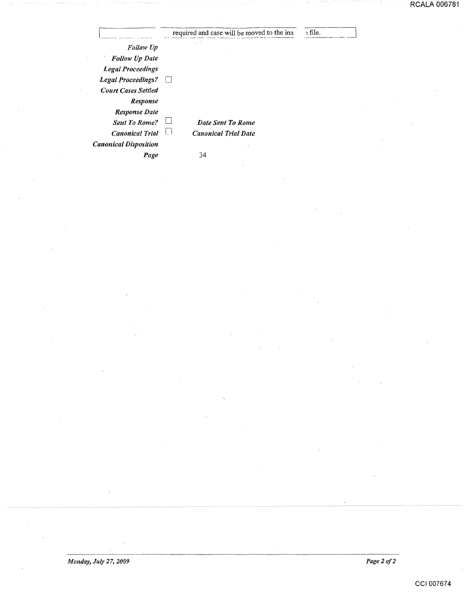|                              | required and case will be moved to the ina | ; file. |  |
|------------------------------|--------------------------------------------|---------|--|
| Follow Up                    |                                            |         |  |
| Follow Up Date               |                                            |         |  |
| <b>Legal Proceedings</b>     |                                            |         |  |
| <b>Legal Proceedings?</b>    |                                            |         |  |
| <b>Court Cases Settled</b>   |                                            |         |  |
| Response                     |                                            |         |  |
| <b>Response Date</b>         |                                            |         |  |
| <b>Sent To Rome?</b>         | Date Sent To Rome                          |         |  |
| <b>Canonical Trial</b>       | <b>Canonical Trial Date</b><br>ŁΙ          |         |  |
| <b>Canonical Disposition</b> |                                            |         |  |
| Page                         | 34                                         |         |  |

*Page2of2*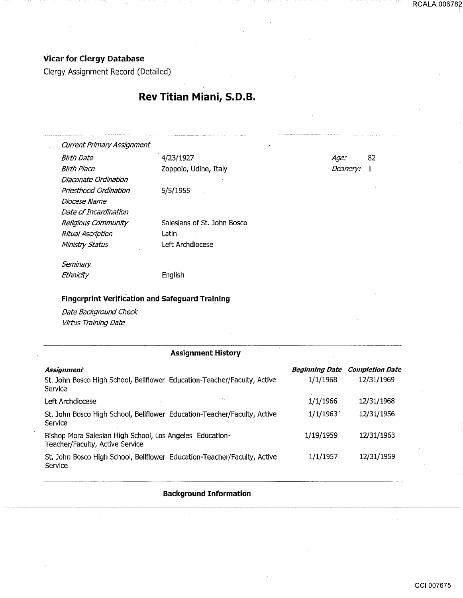## Vicar for Clergy Database

 $\sim$ 

Clergy Assignment Record (Detailed)

## Rev Titian Miani, S.D.B.

| <b>Current Primary Assignment</b>                                                                                           |                                                                          |                         |                        |
|-----------------------------------------------------------------------------------------------------------------------------|--------------------------------------------------------------------------|-------------------------|------------------------|
| Birth Date                                                                                                                  | 4/23/1927                                                                | Age:                    | 82                     |
| <b>Birth Place</b>                                                                                                          | Zoppolo, Udine, Italy                                                    |                         | Deanery:<br>1          |
| <i>Diaconate Ordination</i>                                                                                                 |                                                                          |                         |                        |
| Priesthood Ordination                                                                                                       | 5/5/1955                                                                 |                         |                        |
| Diocese Name                                                                                                                |                                                                          |                         |                        |
| Date of Incardination                                                                                                       |                                                                          |                         |                        |
| Religious Community                                                                                                         | Salesians of St. John Bosco                                              |                         |                        |
| Ritual Ascription                                                                                                           | Latin                                                                    |                         |                        |
| Ministry Status                                                                                                             | Left Archdiocese                                                         |                         |                        |
| Seminary                                                                                                                    |                                                                          |                         |                        |
|                                                                                                                             |                                                                          |                         |                        |
| Ethnicity<br><b>Fingerprint Verification and Safeguard Training</b><br>Date Background Check<br><b>Virtus Training Date</b> | English                                                                  |                         |                        |
|                                                                                                                             |                                                                          |                         |                        |
|                                                                                                                             | <b>Assignment History</b>                                                |                         |                        |
| <b>Assignment</b>                                                                                                           |                                                                          | <b>Beginning Date</b>   | <b>Completion Date</b> |
| Service                                                                                                                     | St. John Bosco High School, Bellflower Education-Teacher/Faculty, Active | 1/1/1968                | 12/31/1969             |
| Left Archdiocese                                                                                                            |                                                                          | 1/1/1966                | 12/31/1968             |
| Service                                                                                                                     | St. John Bosco High School, Bellflower Education-Teacher/Faculty, Active | $1/1/1963$ <sup>*</sup> | 12/31/1956             |
| Bishop Mora Salesian High School, Los Angeles Education-<br>Teacher/Faculty, Active Service                                 |                                                                          | 1/19/1959               | 12/31/1963             |

Background Information .

 $\cdot$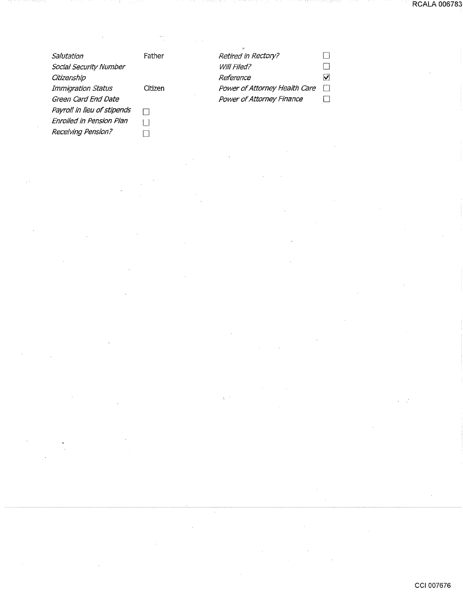|                             |         | $\cdot$                       |        |
|-----------------------------|---------|-------------------------------|--------|
| Salutation                  | Father  | Retired in Rectory?           |        |
| Social Security Number      |         | Will Filed?                   |        |
| Citizenship                 |         | Reference                     | V      |
| Immigration Status          | Citizen | Power of Attorney Health Care | $\Box$ |
| Green Card End Date         |         | Power of Attorney Finance     |        |
| Payroll in lieu of stipends |         |                               |        |
| Enrolled in Pension Plan    |         |                               |        |
| Receiving Pension?          |         |                               |        |

 $\sim$ 

 $\bar{\gamma}$ 

 $\bar{z}$ 

 $\hat{\mathcal{A}}$ 

 $\ddot{\phantom{0}}$ 

CCI 007676

 $\mathbb{R}^2$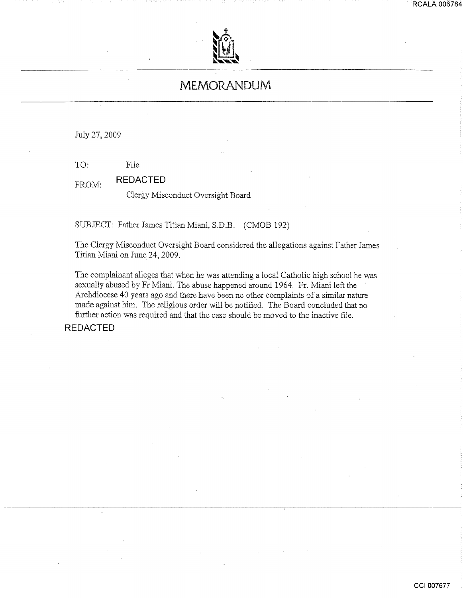

## **MEMORANDUM**

July 27,2009

TO: File

FROM: **REDACTED** 

Clergy Misconduct Oversight Board

SUBJECT: Father James Titian Miani, S.D.B. (CMOB 192)

The Clergy Misconduct Oversight Board considered the allegations against Father James Titian Miani on June 24, 2009.

The complainant alleges that when he was attending a local Catholic high school he was sexually abused by Fr Miani. The abuse happened around 1964. Fr. Miani left the Archdiocese 40 years ago and there have been no other complaints of a similar nature made against him. The religious order will be notified. The Board concluded that no further action was required and that the case should be moved to the inactive file.

**REDACTED** 

**RCALA 006784**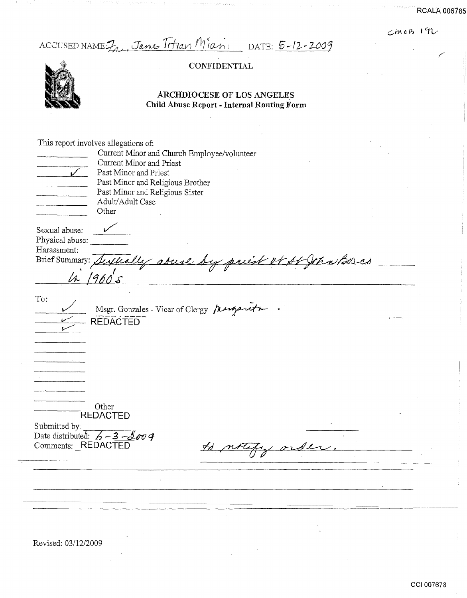$cm$  03 192

ACCUSED NAME 7, Jane Trtian Mians DATE: 5-12-2009

## **CONFIDENTIAL**



## ARCHDIOCESE OF LOS ANGELES Child Abuse Report- Internal Routing Form

|                    | This report involves allegations of:        |                          |  |
|--------------------|---------------------------------------------|--------------------------|--|
|                    | Current Minor and Church Employee/volunteer |                          |  |
|                    | Current Minor and Priest                    |                          |  |
|                    | Past Minor and Priest                       |                          |  |
|                    | Past Minor and Religious Brother            |                          |  |
|                    | Past Minor and Religious Sister             |                          |  |
|                    | Adult/Adult Case                            |                          |  |
|                    | Other                                       |                          |  |
|                    |                                             |                          |  |
| Sexual abuse:      |                                             |                          |  |
| Physical abuse:    |                                             |                          |  |
| Harassment:        |                                             |                          |  |
| Brief Summary:     | covere b                                    | y print of St John Bores |  |
|                    |                                             |                          |  |
|                    |                                             |                          |  |
| To:                |                                             |                          |  |
|                    | Msgr. Gonzales - Vicar of Clergy Mugarita   |                          |  |
|                    | <b>REDACTED</b>                             |                          |  |
|                    |                                             |                          |  |
|                    |                                             |                          |  |
|                    |                                             |                          |  |
|                    |                                             |                          |  |
|                    |                                             |                          |  |
|                    |                                             |                          |  |
|                    |                                             |                          |  |
|                    |                                             |                          |  |
|                    | Other<br><b>REDACTED</b>                    |                          |  |
|                    |                                             |                          |  |
| Submitted by:      |                                             |                          |  |
| Comments: REDACTED | Date distributed: $6 - 3 - 6009$            |                          |  |
|                    |                                             |                          |  |
|                    |                                             |                          |  |
|                    |                                             |                          |  |
|                    |                                             |                          |  |
|                    |                                             |                          |  |
|                    |                                             |                          |  |

Revised: 03/12/2009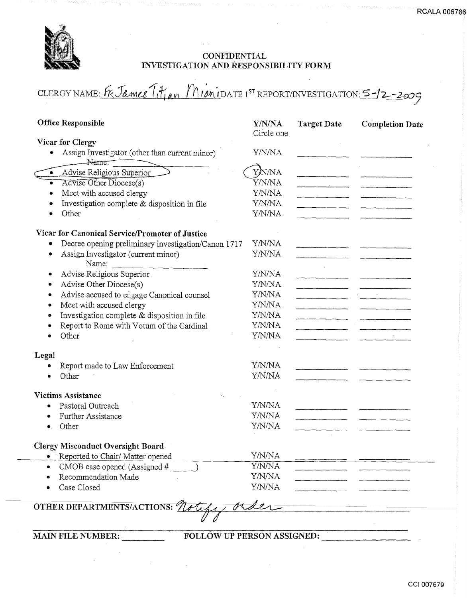

## **CONFIDENTIAL** INVESTIGATION AND RESPONSIBILITY FORM

CLERGY NAME: FR James Titjan MianiDATE 1ST REPORT/INVESTIGATION: 5-12-2009

| <b>Office Responsible</b>                               | Y/N/NA<br>Circle one | <b>Target Date</b>                   | <b>Completion Date</b> |
|---------------------------------------------------------|----------------------|--------------------------------------|------------------------|
| Vicar for Clergy                                        |                      |                                      |                        |
| Assign Investigator (other than current minor)<br>Name. | Y/N/NA               |                                      |                        |
| · Advise Religious Superior                             | YN/NA                |                                      |                        |
| Advise Other Diocese(s)                                 | <b>Y/N/NA</b>        | <u> 1980 - John Amerikaans III (</u> |                        |
| Meet with accused clergy                                | Y/N/NA               |                                      |                        |
| Investigation complete & disposition in file            | Y/N/NA               |                                      |                        |
| Other                                                   | Y/N/NA               |                                      |                        |
| Vicar for Canonical Service/Promoter of Justice         |                      |                                      |                        |
| Decree opening preliminary investigation/Canon 1717     | Y/N/NA               |                                      |                        |
| Assign Investigator (current minor)<br>٠<br>Name:       | Y/N/NA               |                                      |                        |
| Advise Religious Superior                               | Y/N/NA               |                                      |                        |
| Advise Other Diocese(s)                                 | Y/N/NA               |                                      |                        |
| Advise accused to engage Canonical counsel              | Y/N/NA               |                                      |                        |
| Meet with accused clergy                                | Y/N/NA               |                                      |                        |
| Investigation complete & disposition in file            | Y/N/NA               |                                      |                        |
| Report to Rome with Votum of the Cardinal               | Y/N/NA               |                                      |                        |
| Other                                                   | Y/N/NA               |                                      |                        |
| Legal                                                   |                      |                                      |                        |
| Report made to Law Enforcement                          | Y/N/NA               |                                      |                        |
| Other                                                   | Y/N/NA               |                                      |                        |
| <b>Victims Assistance</b>                               |                      |                                      |                        |
| Pastoral Outreach                                       | Y/N/NA               |                                      |                        |
| Further Assistance                                      | Y/N/NA               |                                      |                        |
| Other                                                   | Y/N/NA               |                                      |                        |
|                                                         |                      |                                      |                        |
| <b>Clergy Misconduct Oversight Board</b>                |                      |                                      |                        |
| Reported to Chair/Matter opened                         | Y/N/NA               |                                      |                        |
| CMOB case opened (Assigned #                            | Y/N/NA               |                                      |                        |
| Recommendation Made                                     | Y/N/NA               |                                      |                        |
| Case Closed                                             | Y/N/NA               |                                      |                        |
| OTHER DEPARTMENTS/ACTIONS: 21                           |                      |                                      |                        |
|                                                         |                      |                                      |                        |
| <b>MAIN FILE NUMBER:</b><br>FOLLOW UP PERSON ASSIGNED:  |                      |                                      |                        |

 $\mathcal{A}^{\mathcal{A}}$ 

**RCALA 00678**